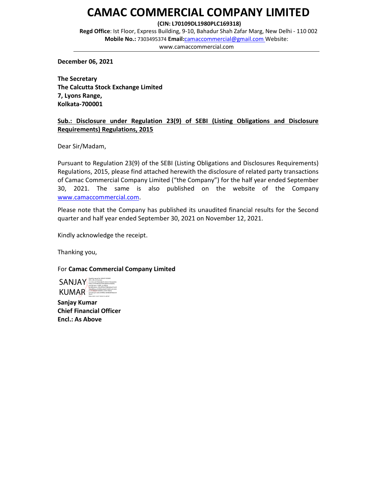# CAMAC COMMERCIAL COMPANY LIMITED

(CIN: L70109DL1980PLC169318)

Regd Office: Ist Floor, Express Building, 9-10, Bahadur Shah Zafar Marg, New Delhi - 110 002 Mobile No.: 7303495374 Email:camaccommercial@gmail.com Website: www.camaccommercial.com

December 06, 2021

The Secretary The Calcutta Stock Exchange Limited 7, Lyons Range, Kolkata-700001

# Sub.: Disclosure under Regulation 23(9) of SEBI (Listing Obligations and Disclosure Requirements) Regulations, 2015

Dear Sir/Madam,

Pursuant to Regulation 23(9) of the SEBI (Listing Obligations and Disclosures Requirements) Regulations, 2015, please find attached herewith the disclosure of related party transactions of Camac Commercial Company Limited ("the Company") for the half year ended September 30, 2021. The same is also published on the website of the Company www.camaccommercial.com.

Please note that the Company has published its unaudited financial results for the Second quarter and half year ended September 30, 2021 on November 12, 2021.

Kindly acknowledge the receipt.

Thanking you,

For Camac Commercial Company Limited

SANJAY DN: c=IN, o=Personal, b3bac101f33983da23692adb0fc5e6bd68, KUMAR<br>mediatrym=e26c5499fbec4d98afbfabba0c0<br>20c21<br>mediatrym=e26c5499fbec4d98afbf6bba0c0 Digitally signed by SANJAY KUMAR 2.5.4.20=cfc77f2d2dde91c46161726ea6e83e postalCode=110092, st=DELHI, serialNumber=55bc9f93a07986da8ae531a20 5abd8f8baac2599fdbcb8a81f1bf831a01e365 Date: 2021.12.07 19:05:19 +05'30'

Sanjay Kumar Chief Financial Officer Encl.: As Above